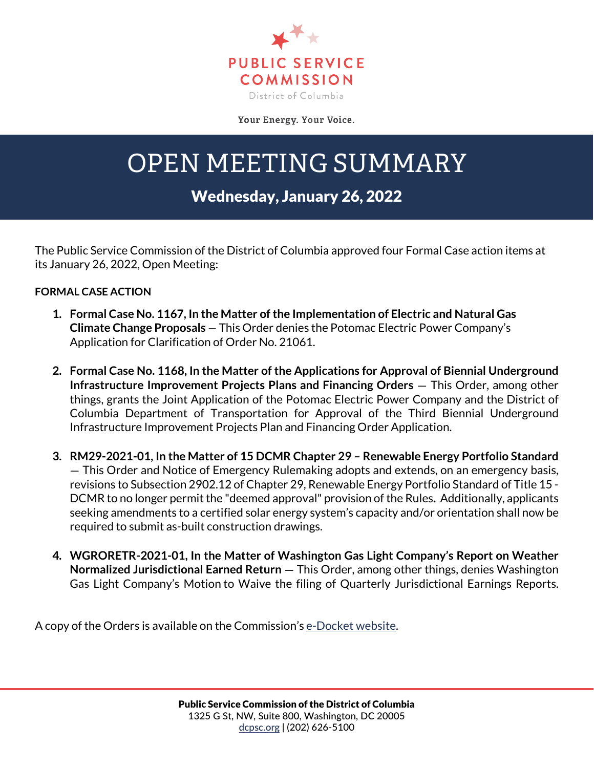

Your Energy. Your Voice.

## OPEN MEETING SUMMARY

## Wednesday, January 26, 2022

The Public Service Commission of the District of Columbia approved four Formal Case action items at its January 26, 2022, Open Meeting:

## **FORMAL CASE ACTION**

- **1. Formal Case No. 1167, In the Matter of the Implementation of Electric and Natural Gas Climate Change Proposals** — This Order denies the Potomac Electric Power Company's Application for Clarification of Order No. 21061.
- **2. Formal Case No. 1168, In the Matter of the Applications for Approval of Biennial Underground Infrastructure Improvement Projects Plans and Financing Orders** — This Order, among other things, grants the Joint Application of the Potomac Electric Power Company and the District of Columbia Department of Transportation for Approval of the Third Biennial Underground Infrastructure Improvement Projects Plan and Financing Order Application.
- **3. RM29-2021-01, In the Matter of 15 DCMR Chapter 29 – Renewable Energy Portfolio Standard** — This Order and Notice of Emergency Rulemaking adopts and extends, on an emergency basis, revisions to Subsection 2902.12 of Chapter 29, Renewable Energy Portfolio Standard of Title 15 - DCMR to no longer permit the "deemed approval" provision of the Rules. Additionally, applicants seeking amendments to a certified solar energy system's capacity and/or orientation shall now be required to submit as-built construction drawings.
- **4. WGRORETR-2021-01, In the Matter of Washington Gas Light Company's Report on Weather Normalized Jurisdictional Earned Return** — This Order, among other things, denies Washington Gas Light Company's Motion to Waive the filing of Quarterly Jurisdictional Earnings Reports.

A copy of the Orders is available on the Commission's [e-Docket website.](https://edocket.dcpsc.org/public/search)